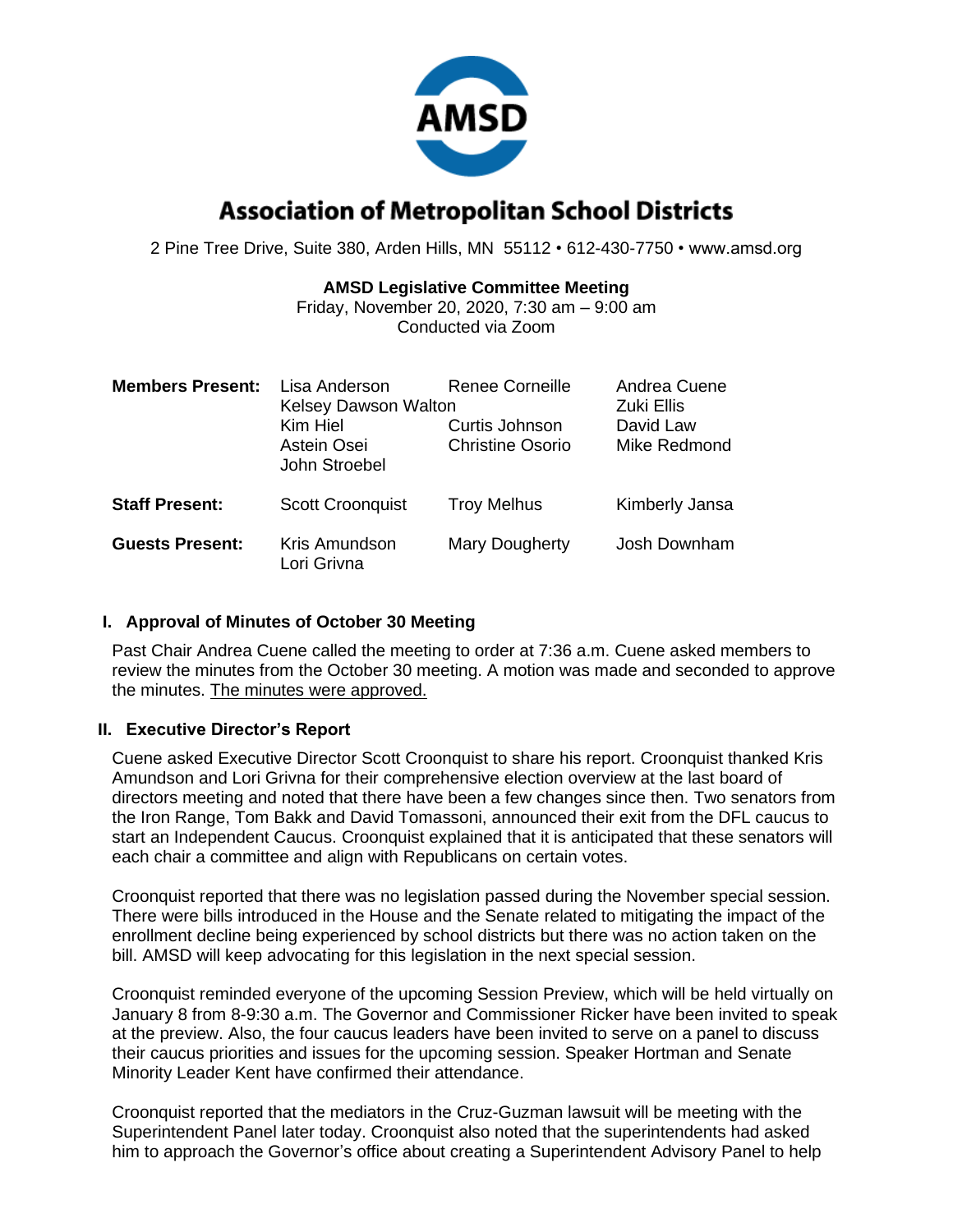

# **Association of Metropolitan School Districts**

2 Pine Tree Drive, Suite 380, Arden Hills, MN 55112 • 612-430-7750 • www.amsd.org

#### **AMSD Legislative Committee Meeting**

Friday, November 20, 2020, 7:30 am – 9:00 am Conducted via Zoom

| <b>Members Present:</b> | Lisa Anderson<br><b>Kelsey Dawson Walton</b><br>Kim Hiel<br>Astein Osei<br>John Stroebel | Renee Corneille<br>Curtis Johnson<br><b>Christine Osorio</b> | Andrea Cuene<br>Zuki Ellis<br>David Law<br>Mike Redmond |
|-------------------------|------------------------------------------------------------------------------------------|--------------------------------------------------------------|---------------------------------------------------------|
| <b>Staff Present:</b>   | <b>Scott Croonquist</b>                                                                  | <b>Troy Melhus</b>                                           | Kimberly Jansa                                          |
| <b>Guests Present:</b>  | Kris Amundson<br>Lori Grivna                                                             | Mary Dougherty                                               | Josh Downham                                            |

#### **I. Approval of Minutes of October 30 Meeting**

Past Chair Andrea Cuene called the meeting to order at 7:36 a.m. Cuene asked members to review the minutes from the October 30 meeting. A motion was made and seconded to approve the minutes. The minutes were approved.

## **II. Executive Director's Report**

Cuene asked Executive Director Scott Croonquist to share his report. Croonquist thanked Kris Amundson and Lori Grivna for their comprehensive election overview at the last board of directors meeting and noted that there have been a few changes since then. Two senators from the Iron Range, Tom Bakk and David Tomassoni, announced their exit from the DFL caucus to start an Independent Caucus. Croonquist explained that it is anticipated that these senators will each chair a committee and align with Republicans on certain votes.

Croonquist reported that there was no legislation passed during the November special session. There were bills introduced in the House and the Senate related to mitigating the impact of the enrollment decline being experienced by school districts but there was no action taken on the bill. AMSD will keep advocating for this legislation in the next special session.

Croonquist reminded everyone of the upcoming Session Preview, which will be held virtually on January 8 from 8-9:30 a.m. The Governor and Commissioner Ricker have been invited to speak at the preview. Also, the four caucus leaders have been invited to serve on a panel to discuss their caucus priorities and issues for the upcoming session. Speaker Hortman and Senate Minority Leader Kent have confirmed their attendance.

Croonquist reported that the mediators in the Cruz-Guzman lawsuit will be meeting with the Superintendent Panel later today. Croonquist also noted that the superintendents had asked him to approach the Governor's office about creating a Superintendent Advisory Panel to help